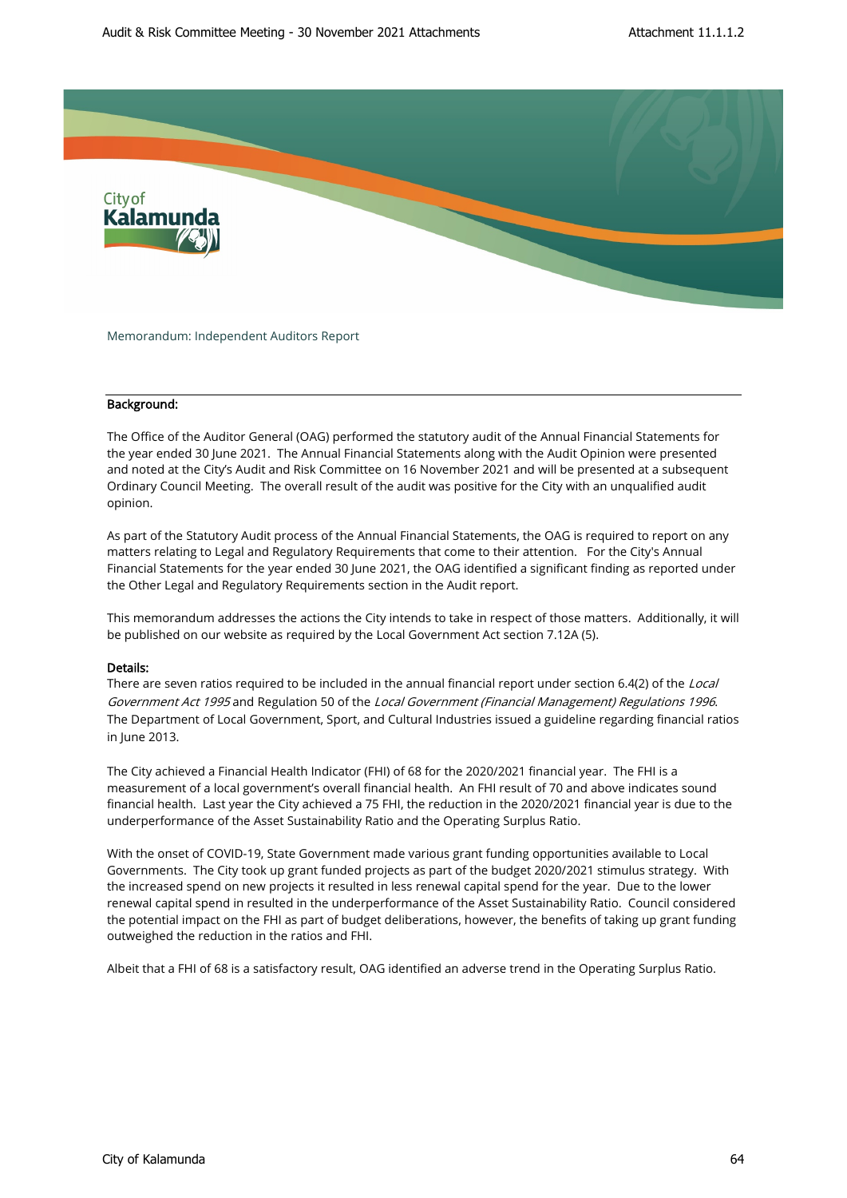

Memorandum: Independent Auditors Report

### Background:

The Office of the Auditor General (OAG) performed the statutory audit of the Annual Financial Statements for the year ended 30 June 2021. The Annual Financial Statements along with the Audit Opinion were presented and noted at the City's Audit and Risk Committee on 16 November 2021 and will be presented at a subsequent Ordinary Council Meeting. The overall result of the audit was positive for the City with an unqualified audit opinion.

As part of the Statutory Audit process of the Annual Financial Statements, the OAG is required to report on any matters relating to Legal and Regulatory Requirements that come to their attention. For the City's Annual Financial Statements for the year ended 30 June 2021, the OAG identified a significant finding as reported under the Other Legal and Regulatory Requirements section in the Audit report.

This memorandum addresses the actions the City intends to take in respect of those matters. Additionally, it will be published on our website as required by the Local Government Act section 7.12A (5).

#### Details:

There are seven ratios required to be included in the annual financial report under section 6.4(2) of the Local Government Act 1995 and Regulation 50 of the Local Government (Financial Management) Regulations 1996. The Department of Local Government, Sport, and Cultural Industries issued a guideline regarding financial ratios in June 2013.

The City achieved a Financial Health Indicator (FHI) of 68 for the 2020/2021 financial year. The FHI is a measurement of a local government's overall financial health. An FHI result of 70 and above indicates sound financial health. Last year the City achieved a 75 FHI, the reduction in the 2020/2021 financial year is due to the underperformance of the Asset Sustainability Ratio and the Operating Surplus Ratio.

With the onset of COVID-19, State Government made various grant funding opportunities available to Local Governments. The City took up grant funded projects as part of the budget 2020/2021 stimulus strategy. With the increased spend on new projects it resulted in less renewal capital spend for the year. Due to the lower renewal capital spend in resulted in the underperformance of the Asset Sustainability Ratio. Council considered the potential impact on the FHI as part of budget deliberations, however, the benefits of taking up grant funding outweighed the reduction in the ratios and FHI.

Albeit that a FHI of 68 is a satisfactory result, OAG identified an adverse trend in the Operating Surplus Ratio.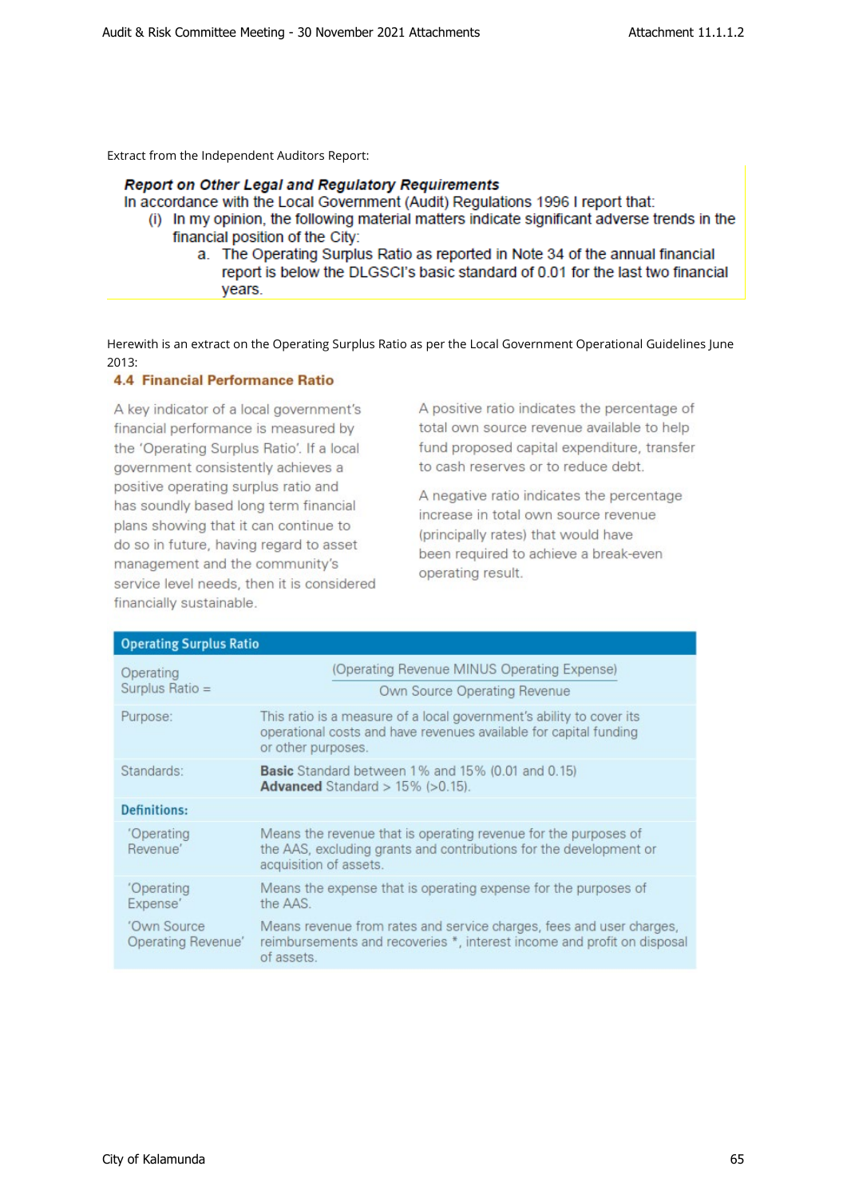Extract from the Independent Auditors Report:

# Report on Other Legal and Regulatory Requirements

In accordance with the Local Government (Audit) Regulations 1996 I report that:

- (i) In my opinion, the following material matters indicate significant adverse trends in the financial position of the City:
	- a. The Operating Surplus Ratio as reported in Note 34 of the annual financial report is below the DLGSCI's basic standard of 0.01 for the last two financial years.

Herewith is an extract on the Operating Surplus Ratio as per the Local Government Operational Guidelines June 2013:

## **4.4 Financial Performance Ratio**

A key indicator of a local government's financial performance is measured by the 'Operating Surplus Ratio'. If a local government consistently achieves a positive operating surplus ratio and has soundly based long term financial plans showing that it can continue to do so in future, having regard to asset management and the community's service level needs, then it is considered financially sustainable.

A positive ratio indicates the percentage of total own source revenue available to help fund proposed capital expenditure, transfer to cash reserves or to reduce debt.

A negative ratio indicates the percentage increase in total own source revenue (principally rates) that would have been required to achieve a break-even operating result.

| <b>Operating Surplus Ratio</b>    |                                                                                                                                                                 |  |  |  |
|-----------------------------------|-----------------------------------------------------------------------------------------------------------------------------------------------------------------|--|--|--|
| Operating<br>Surplus Ratio =      | (Operating Revenue MINUS Operating Expense)<br>Own Source Operating Revenue                                                                                     |  |  |  |
| Purpose:                          | This ratio is a measure of a local government's ability to cover its<br>operational costs and have revenues available for capital funding<br>or other purposes. |  |  |  |
| Standards:                        | <b>Basic</b> Standard between 1% and 15% (0.01 and 0.15)<br>Advanced Standard $> 15\%$ ( $> 0.15$ ).                                                            |  |  |  |
| <b>Definitions:</b>               |                                                                                                                                                                 |  |  |  |
| 'Operating<br>Revenue'            | Means the revenue that is operating revenue for the purposes of<br>the AAS, excluding grants and contributions for the development or<br>acquisition of assets. |  |  |  |
| 'Operating<br>Expense'            | Means the expense that is operating expense for the purposes of<br>the AAS.                                                                                     |  |  |  |
| 'Own Source<br>Operating Revenue' | Means revenue from rates and service charges, fees and user charges,<br>reimbursements and recoveries *, interest income and profit on disposal<br>of assets.   |  |  |  |